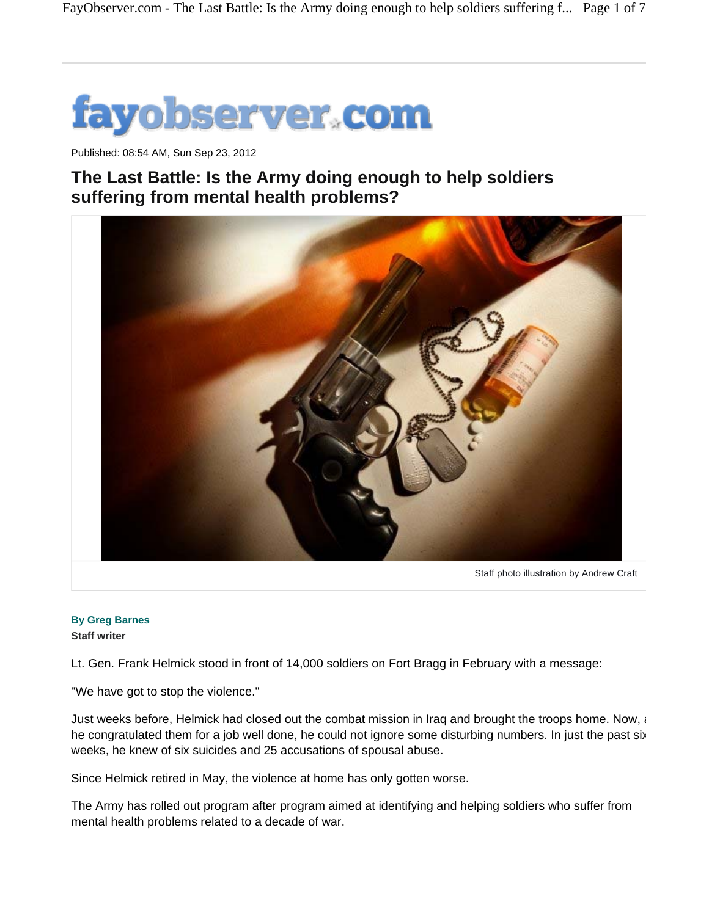

Published: 08:54 AM, Sun Sep 23, 2012

## **The Last Battle: Is the Army doing enough to help soldiers suffering from mental health problems?**



**By Greg Barnes Staff writer**

Lt. Gen. Frank Helmick stood in front of 14,000 soldiers on Fort Bragg in February with a message:

"We have got to stop the violence."

Just weeks before, Helmick had closed out the combat mission in Iraq and brought the troops home. Now, a he congratulated them for a job well done, he could not ignore some disturbing numbers. In just the past six weeks, he knew of six suicides and 25 accusations of spousal abuse.

Since Helmick retired in May, the violence at home has only gotten worse.

The Army has rolled out program after program aimed at identifying and helping soldiers who suffer from mental health problems related to a decade of war.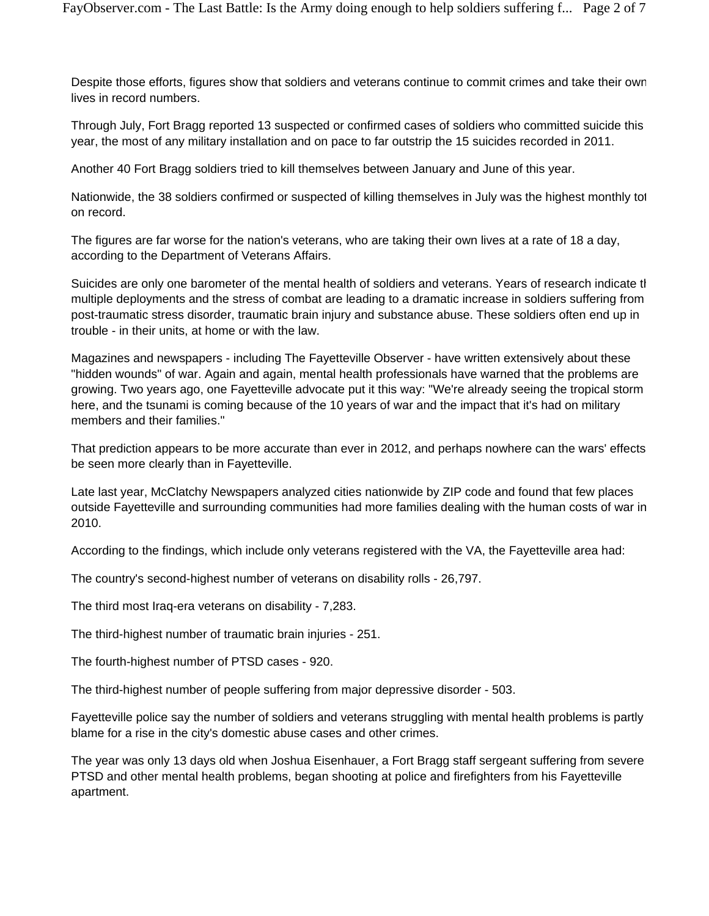Despite those efforts, figures show that soldiers and veterans continue to commit crimes and take their own lives in record numbers.

Through July, Fort Bragg reported 13 suspected or confirmed cases of soldiers who committed suicide this year, the most of any military installation and on pace to far outstrip the 15 suicides recorded in 2011.

Another 40 Fort Bragg soldiers tried to kill themselves between January and June of this year.

Nationwide, the 38 soldiers confirmed or suspected of killing themselves in July was the highest monthly tot on record.

The figures are far worse for the nation's veterans, who are taking their own lives at a rate of 18 a day, according to the Department of Veterans Affairs.

Suicides are only one barometer of the mental health of soldiers and veterans. Years of research indicate th multiple deployments and the stress of combat are leading to a dramatic increase in soldiers suffering from post-traumatic stress disorder, traumatic brain injury and substance abuse. These soldiers often end up in trouble - in their units, at home or with the law.

Magazines and newspapers - including The Fayetteville Observer - have written extensively about these "hidden wounds" of war. Again and again, mental health professionals have warned that the problems are growing. Two years ago, one Fayetteville advocate put it this way: "We're already seeing the tropical storm here, and the tsunami is coming because of the 10 years of war and the impact that it's had on military members and their families."

That prediction appears to be more accurate than ever in 2012, and perhaps nowhere can the wars' effects be seen more clearly than in Fayetteville.

Late last year, McClatchy Newspapers analyzed cities nationwide by ZIP code and found that few places outside Fayetteville and surrounding communities had more families dealing with the human costs of war in 2010.

According to the findings, which include only veterans registered with the VA, the Fayetteville area had:

The country's second-highest number of veterans on disability rolls - 26,797.

The third most Iraq-era veterans on disability - 7,283.

The third-highest number of traumatic brain injuries - 251.

The fourth-highest number of PTSD cases - 920.

The third-highest number of people suffering from major depressive disorder - 503.

Fayetteville police say the number of soldiers and veterans struggling with mental health problems is partly blame for a rise in the city's domestic abuse cases and other crimes.

The year was only 13 days old when Joshua Eisenhauer, a Fort Bragg staff sergeant suffering from severe PTSD and other mental health problems, began shooting at police and firefighters from his Fayetteville apartment.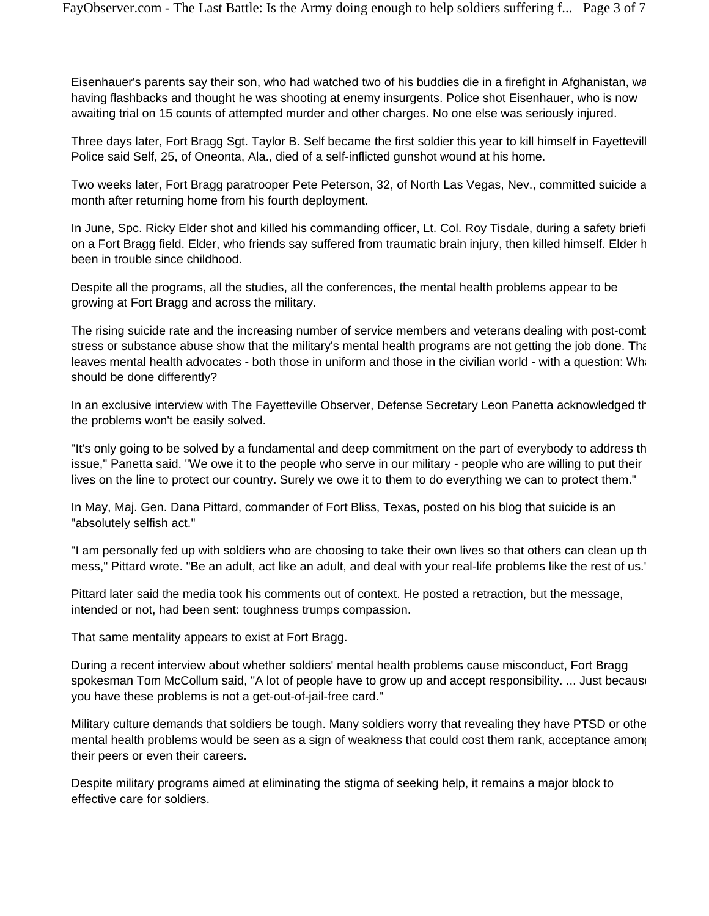Eisenhauer's parents say their son, who had watched two of his buddies die in a firefight in Afghanistan, wa having flashbacks and thought he was shooting at enemy insurgents. Police shot Eisenhauer, who is now awaiting trial on 15 counts of attempted murder and other charges. No one else was seriously injured.

Three days later, Fort Bragg Sgt. Taylor B. Self became the first soldier this year to kill himself in Fayettevill Police said Self, 25, of Oneonta, Ala., died of a self-inflicted gunshot wound at his home.

Two weeks later, Fort Bragg paratrooper Pete Peterson, 32, of North Las Vegas, Nev., committed suicide a month after returning home from his fourth deployment.

In June, Spc. Ricky Elder shot and killed his commanding officer, Lt. Col. Roy Tisdale, during a safety briefi on a Fort Bragg field. Elder, who friends say suffered from traumatic brain injury, then killed himself. Elder h been in trouble since childhood.

Despite all the programs, all the studies, all the conferences, the mental health problems appear to be growing at Fort Bragg and across the military.

The rising suicide rate and the increasing number of service members and veterans dealing with post-comb stress or substance abuse show that the military's mental health programs are not getting the job done. That leaves mental health advocates - both those in uniform and those in the civilian world - with a question: What should be done differently?

In an exclusive interview with The Fayetteville Observer, Defense Secretary Leon Panetta acknowledged th the problems won't be easily solved.

"It's only going to be solved by a fundamental and deep commitment on the part of everybody to address th issue," Panetta said. "We owe it to the people who serve in our military - people who are willing to put their lives on the line to protect our country. Surely we owe it to them to do everything we can to protect them."

In May, Maj. Gen. Dana Pittard, commander of Fort Bliss, Texas, posted on his blog that suicide is an "absolutely selfish act."

"I am personally fed up with soldiers who are choosing to take their own lives so that others can clean up th mess," Pittard wrote. "Be an adult, act like an adult, and deal with your real-life problems like the rest of us."

Pittard later said the media took his comments out of context. He posted a retraction, but the message, intended or not, had been sent: toughness trumps compassion.

That same mentality appears to exist at Fort Bragg.

During a recent interview about whether soldiers' mental health problems cause misconduct, Fort Bragg spokesman Tom McCollum said, "A lot of people have to grow up and accept responsibility. ... Just because you have these problems is not a get-out-of-jail-free card."

Military culture demands that soldiers be tough. Many soldiers worry that revealing they have PTSD or othe mental health problems would be seen as a sign of weakness that could cost them rank, acceptance among their peers or even their careers.

Despite military programs aimed at eliminating the stigma of seeking help, it remains a major block to effective care for soldiers.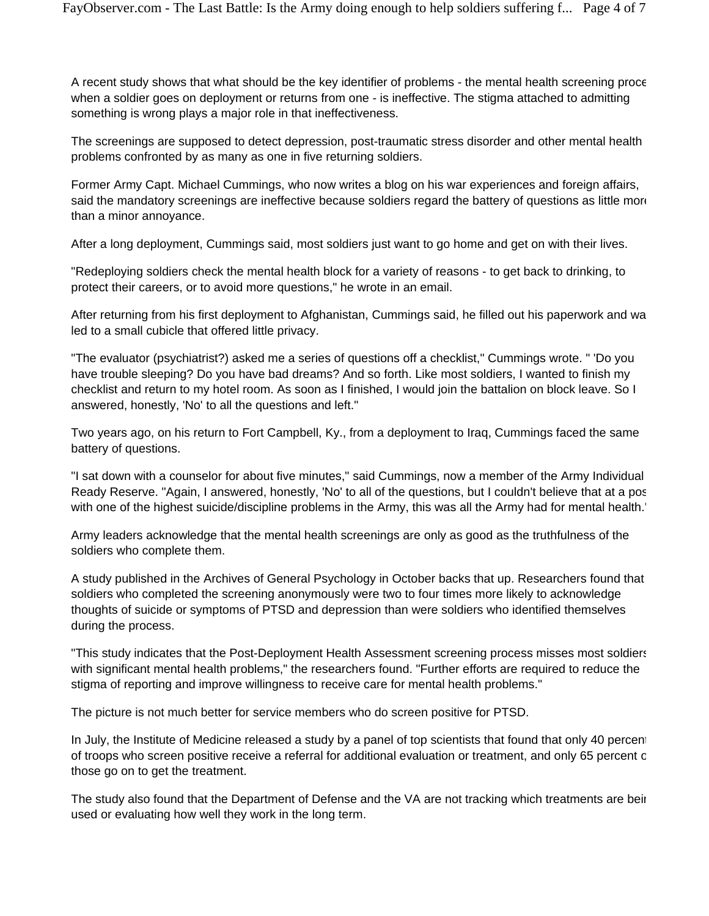A recent study shows that what should be the key identifier of problems - the mental health screening proce when a soldier goes on deployment or returns from one - is ineffective. The stigma attached to admitting something is wrong plays a major role in that ineffectiveness.

The screenings are supposed to detect depression, post-traumatic stress disorder and other mental health problems confronted by as many as one in five returning soldiers.

Former Army Capt. Michael Cummings, who now writes a blog on his war experiences and foreign affairs, said the mandatory screenings are ineffective because soldiers regard the battery of questions as little more than a minor annoyance.

After a long deployment, Cummings said, most soldiers just want to go home and get on with their lives.

"Redeploying soldiers check the mental health block for a variety of reasons - to get back to drinking, to protect their careers, or to avoid more questions," he wrote in an email.

After returning from his first deployment to Afghanistan, Cummings said, he filled out his paperwork and wa led to a small cubicle that offered little privacy.

"The evaluator (psychiatrist?) asked me a series of questions off a checklist," Cummings wrote. " 'Do you have trouble sleeping? Do you have bad dreams? And so forth. Like most soldiers, I wanted to finish my checklist and return to my hotel room. As soon as I finished, I would join the battalion on block leave. So I answered, honestly, 'No' to all the questions and left."

Two years ago, on his return to Fort Campbell, Ky., from a deployment to Iraq, Cummings faced the same battery of questions.

"I sat down with a counselor for about five minutes," said Cummings, now a member of the Army Individual Ready Reserve. "Again, I answered, honestly, 'No' to all of the questions, but I couldn't believe that at a pos with one of the highest suicide/discipline problems in the Army, this was all the Army had for mental health."

Army leaders acknowledge that the mental health screenings are only as good as the truthfulness of the soldiers who complete them.

A study published in the Archives of General Psychology in October backs that up. Researchers found that soldiers who completed the screening anonymously were two to four times more likely to acknowledge thoughts of suicide or symptoms of PTSD and depression than were soldiers who identified themselves during the process.

"This study indicates that the Post-Deployment Health Assessment screening process misses most soldiers with significant mental health problems," the researchers found. "Further efforts are required to reduce the stigma of reporting and improve willingness to receive care for mental health problems."

The picture is not much better for service members who do screen positive for PTSD.

In July, the Institute of Medicine released a study by a panel of top scientists that found that only 40 percent of troops who screen positive receive a referral for additional evaluation or treatment, and only 65 percent o those go on to get the treatment.

The study also found that the Department of Defense and the VA are not tracking which treatments are bein used or evaluating how well they work in the long term.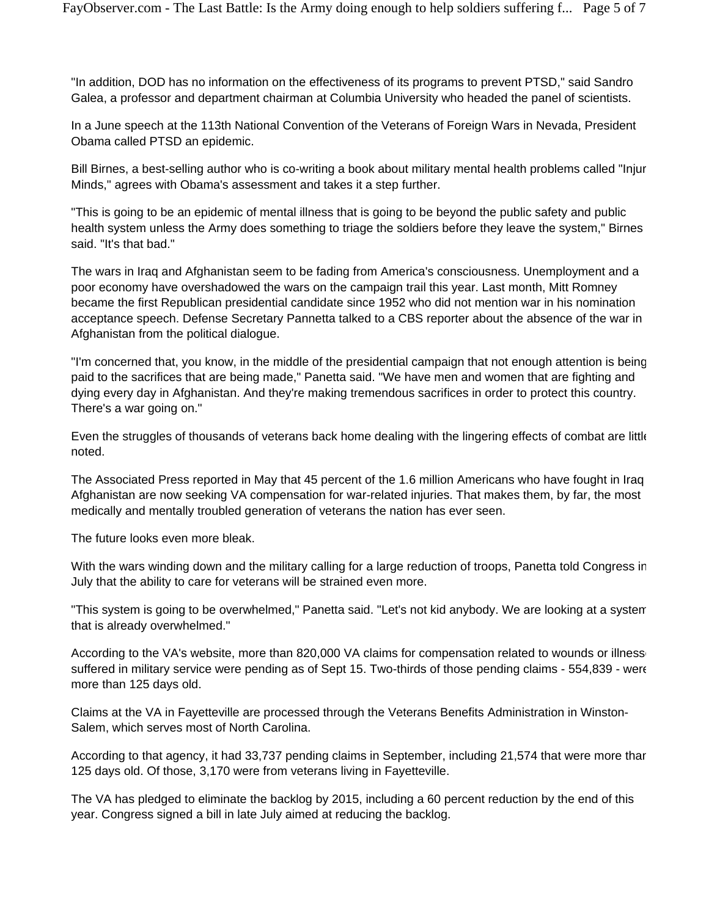"In addition, DOD has no information on the effectiveness of its programs to prevent PTSD," said Sandro Galea, a professor and department chairman at Columbia University who headed the panel of scientists.

In a June speech at the 113th National Convention of the Veterans of Foreign Wars in Nevada, President Obama called PTSD an epidemic.

Bill Birnes, a best-selling author who is co-writing a book about military mental health problems called "Injur Minds," agrees with Obama's assessment and takes it a step further.

"This is going to be an epidemic of mental illness that is going to be beyond the public safety and public health system unless the Army does something to triage the soldiers before they leave the system," Birnes said. "It's that bad."

The wars in Iraq and Afghanistan seem to be fading from America's consciousness. Unemployment and a poor economy have overshadowed the wars on the campaign trail this year. Last month, Mitt Romney became the first Republican presidential candidate since 1952 who did not mention war in his nomination acceptance speech. Defense Secretary Pannetta talked to a CBS reporter about the absence of the war in Afghanistan from the political dialogue.

"I'm concerned that, you know, in the middle of the presidential campaign that not enough attention is being paid to the sacrifices that are being made," Panetta said. "We have men and women that are fighting and dying every day in Afghanistan. And they're making tremendous sacrifices in order to protect this country. There's a war going on."

Even the struggles of thousands of veterans back home dealing with the lingering effects of combat are little noted.

The Associated Press reported in May that 45 percent of the 1.6 million Americans who have fought in Iraq Afghanistan are now seeking VA compensation for war-related injuries. That makes them, by far, the most medically and mentally troubled generation of veterans the nation has ever seen.

The future looks even more bleak.

With the wars winding down and the military calling for a large reduction of troops, Panetta told Congress in July that the ability to care for veterans will be strained even more.

"This system is going to be overwhelmed," Panetta said. "Let's not kid anybody. We are looking at a system that is already overwhelmed."

According to the VA's website, more than 820,000 VA claims for compensation related to wounds or illnesse suffered in military service were pending as of Sept 15. Two-thirds of those pending claims - 554,839 - were more than 125 days old.

Claims at the VA in Fayetteville are processed through the Veterans Benefits Administration in Winston-Salem, which serves most of North Carolina.

According to that agency, it had 33,737 pending claims in September, including 21,574 that were more than 125 days old. Of those, 3,170 were from veterans living in Fayetteville.

The VA has pledged to eliminate the backlog by 2015, including a 60 percent reduction by the end of this year. Congress signed a bill in late July aimed at reducing the backlog.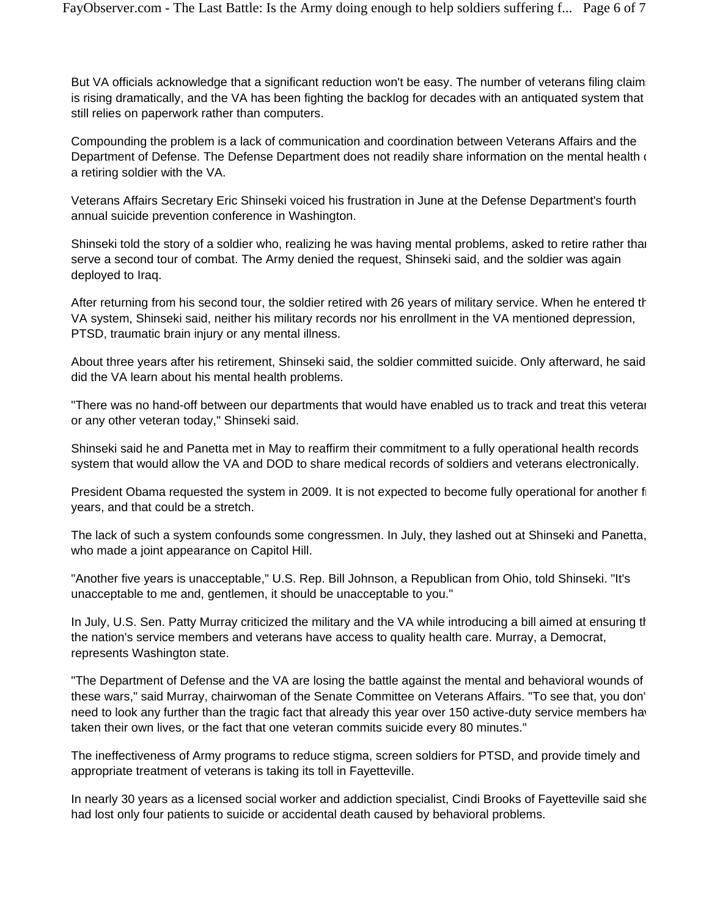But VA officials acknowledge that a significant reduction won't be easy. The number of veterans filing claim is rising dramatically, and the VA has been fighting the backlog for decades with an antiquated system that still relies on paperwork rather than computers.

Compounding the problem is a lack of communication and coordination between Veterans Affairs and the Department of Defense. The Defense Department does not readily share information on the mental health of a retiring soldier with the VA.

Veterans Affairs Secretary Eric Shinseki voiced his frustration in June at the Defense Department's fourth annual suicide prevention conference in Washington.

Shinseki told the story of a soldier who, realizing he was having mental problems, asked to retire rather than serve a second tour of combat. The Army denied the request, Shinseki said, and the soldier was again deployed to Iraq.

After returning from his second tour, the soldier retired with 26 years of military service. When he entered th VA system, Shinseki said, neither his military records nor his enrollment in the VA mentioned depression, PTSD, traumatic brain injury or any mental illness.

About three years after his retirement, Shinseki said, the soldier committed suicide. Only afterward, he said did the VA learn about his mental health problems.

"There was no hand-off between our departments that would have enabled us to track and treat this veteran or any other veteran today," Shinseki said.

Shinseki said he and Panetta met in May to reaffirm their commitment to a fully operational health records system that would allow the VA and DOD to share medical records of soldiers and veterans electronically.

President Obama requested the system in 2009. It is not expected to become fully operational for another fi years, and that could be a stretch.

The lack of such a system confounds some congressmen. In July, they lashed out at Shinseki and Panetta, who made a joint appearance on Capitol Hill.

"Another five years is unacceptable," U.S. Rep. Bill Johnson, a Republican from Ohio, told Shinseki. "It's unacceptable to me and, gentlemen, it should be unacceptable to you."

In July, U.S. Sen. Patty Murray criticized the military and the VA while introducing a bill aimed at ensuring the the nation's service members and veterans have access to quality health care. Murray, a Democrat, represents Washington state.

"The Department of Defense and the VA are losing the battle against the mental and behavioral wounds of these wars," said Murray, chairwoman of the Senate Committee on Veterans Affairs. "To see that, you don't need to look any further than the tragic fact that already this year over 150 active-duty service members hav taken their own lives, or the fact that one veteran commits suicide every 80 minutes."

The ineffectiveness of Army programs to reduce stigma, screen soldiers for PTSD, and provide timely and appropriate treatment of veterans is taking its toll in Fayetteville.

In nearly 30 years as a licensed social worker and addiction specialist, Cindi Brooks of Fayetteville said she had lost only four patients to suicide or accidental death caused by behavioral problems.